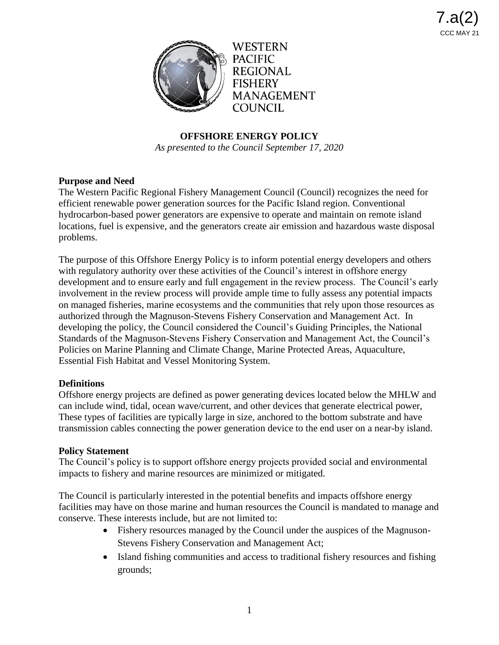

**PACIFIC REGIONAL FISHERY MANAGEMENT** COUNCIL

## **OFFSHORE ENERGY POLICY**

*As presented to the Council September 17, 2020*

## **Purpose and Need**

The Western Pacific Regional Fishery Management Council (Council) recognizes the need for efficient renewable power generation sources for the Pacific Island region. Conventional hydrocarbon-based power generators are expensive to operate and maintain on remote island locations, fuel is expensive, and the generators create air emission and hazardous waste disposal problems.

The purpose of this Offshore Energy Policy is to inform potential energy developers and others with regulatory authority over these activities of the Council's interest in offshore energy development and to ensure early and full engagement in the review process. The Council's early involvement in the review process will provide ample time to fully assess any potential impacts on managed fisheries, marine ecosystems and the communities that rely upon those resources as authorized through the Magnuson-Stevens Fishery Conservation and Management Act. In developing the policy, the Council considered the Council's Guiding Principles, the National Standards of the Magnuson-Stevens Fishery Conservation and Management Act, the Council's Policies on Marine Planning and Climate Change, Marine Protected Areas, Aquaculture, Essential Fish Habitat and Vessel Monitoring System.

## **Definitions**

Offshore energy projects are defined as power generating devices located below the MHLW and can include wind, tidal, ocean wave/current, and other devices that generate electrical power, These types of facilities are typically large in size, anchored to the bottom substrate and have transmission cables connecting the power generation device to the end user on a near-by island.

## **Policy Statement**

The Council's policy is to support offshore energy projects provided social and environmental impacts to fishery and marine resources are minimized or mitigated.

The Council is particularly interested in the potential benefits and impacts offshore energy facilities may have on those marine and human resources the Council is mandated to manage and conserve. These interests include, but are not limited to:

- Fishery resources managed by the Council under the auspices of the Magnuson-Stevens Fishery Conservation and Management Act;
- Island fishing communities and access to traditional fishery resources and fishing grounds;